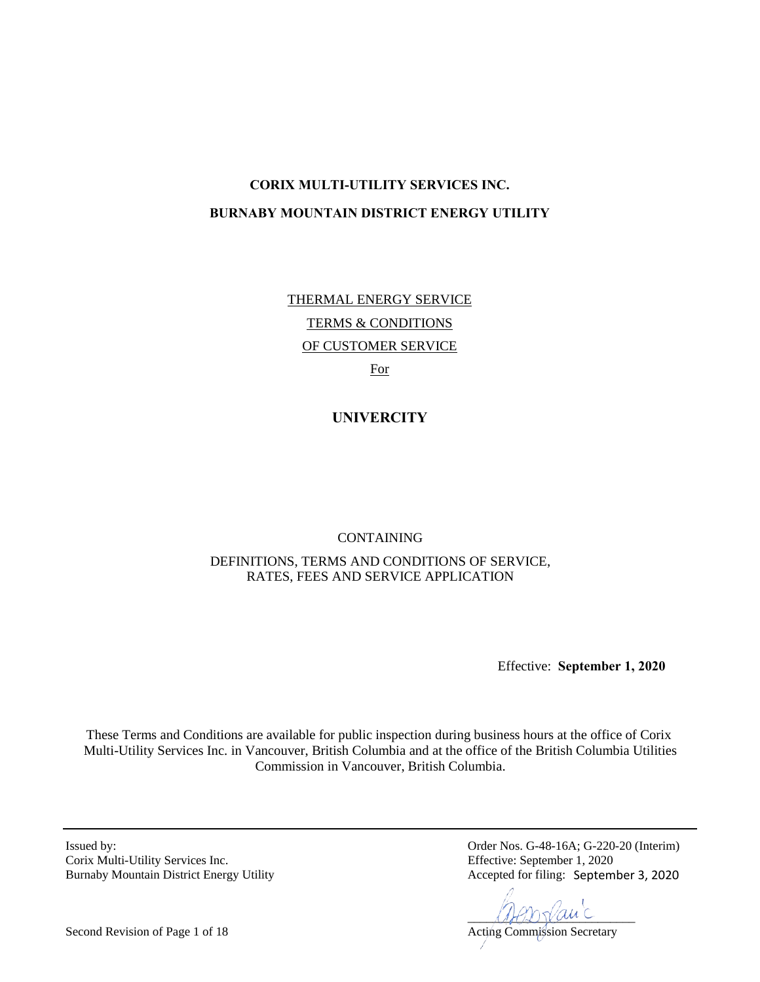# **CORIX MULTI-UTILITY SERVICES INC. BURNABY MOUNTAIN DISTRICT ENERGY UTILITY**

THERMAL ENERGY SERVICE TERMS & CONDITIONS OF CUSTOMER SERVICE For

**UNIVERCITY** 

CONTAINING

DEFINITIONS, TERMS AND CONDITIONS OF SERVICE, RATES, FEES AND SERVICE APPLICATION

Effective: **September 1, 2020**

These Terms and Conditions are available for public inspection during business hours at the office of Corix Multi-Utility Services Inc. in Vancouver, British Columbia and at the office of the British Columbia Utilities Commission in Vancouver, British Columbia.

Corix Multi-Utility Services Inc. Burnaby Mountain District Energy Utility

Issued by: Order Nos. G-48-16A; G-220-20 (Interim)<br>Corix Multi-Utility Services Inc. Effective: September 1, 2020 Accepted for filing: September 3, 2020

 $\mathcal{A}\mathcal{A}\mathcal{B}\mathcal{D}\mathcal{Y}\mathcal{A}\mathcal{A}\mathcal{C}$ 

Second Revision of Page 1 of 18 Acting Commission Secretary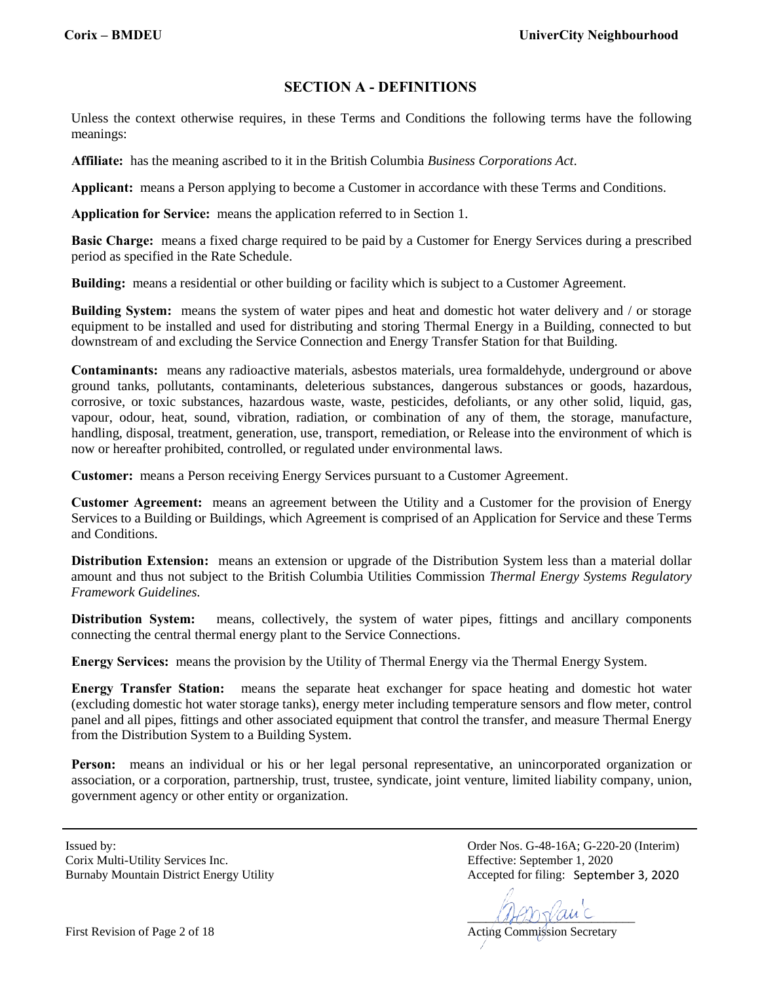# **SECTION A - DEFINITIONS**

Unless the context otherwise requires, in these Terms and Conditions the following terms have the following meanings:

**Affiliate:** has the meaning ascribed to it in the British Columbia *Business Corporations Act*.

**Applicant:** means a Person applying to become a Customer in accordance with these Terms and Conditions.

**Application for Service:** means the application referred to in Section 1.

**Basic Charge:** means a fixed charge required to be paid by a Customer for Energy Services during a prescribed period as specified in the Rate Schedule.

**Building:** means a residential or other building or facility which is subject to a Customer Agreement.

**Building System:** means the system of water pipes and heat and domestic hot water delivery and / or storage equipment to be installed and used for distributing and storing Thermal Energy in a Building, connected to but downstream of and excluding the Service Connection and Energy Transfer Station for that Building.

**Contaminants:** means any radioactive materials, asbestos materials, urea formaldehyde, underground or above ground tanks, pollutants, contaminants, deleterious substances, dangerous substances or goods, hazardous, corrosive, or toxic substances, hazardous waste, waste, pesticides, defoliants, or any other solid, liquid, gas, vapour, odour, heat, sound, vibration, radiation, or combination of any of them, the storage, manufacture, handling, disposal, treatment, generation, use, transport, remediation, or Release into the environment of which is now or hereafter prohibited, controlled, or regulated under environmental laws.

**Customer:** means a Person receiving Energy Services pursuant to a Customer Agreement.

**Customer Agreement:** means an agreement between the Utility and a Customer for the provision of Energy Services to a Building or Buildings, which Agreement is comprised of an Application for Service and these Terms and Conditions.

**Distribution Extension:** means an extension or upgrade of the Distribution System less than a material dollar amount and thus not subject to the British Columbia Utilities Commission *Thermal Energy Systems Regulatory Framework Guidelines.*

**Distribution System:** means, collectively, the system of water pipes, fittings and ancillary components connecting the central thermal energy plant to the Service Connections.

**Energy Services:** means the provision by the Utility of Thermal Energy via the Thermal Energy System.

**Energy Transfer Station:** means the separate heat exchanger for space heating and domestic hot water (excluding domestic hot water storage tanks), energy meter including temperature sensors and flow meter, control panel and all pipes, fittings and other associated equipment that control the transfer, and measure Thermal Energy from the Distribution System to a Building System.

**Person:** means an individual or his or her legal personal representative, an unincorporated organization or association, or a corporation, partnership, trust, trustee, syndicate, joint venture, limited liability company, union, government agency or other entity or organization.

Corix Multi-Utility Services Inc. Effective: September 1, 2020 Burnaby Mountain District Energy Utility

 $\mathcal{A}\mathcal{A}\mathcal{B}\mathcal{D}\mathcal{V}\mathcal{A}\mathcal{A}\mathcal{C}$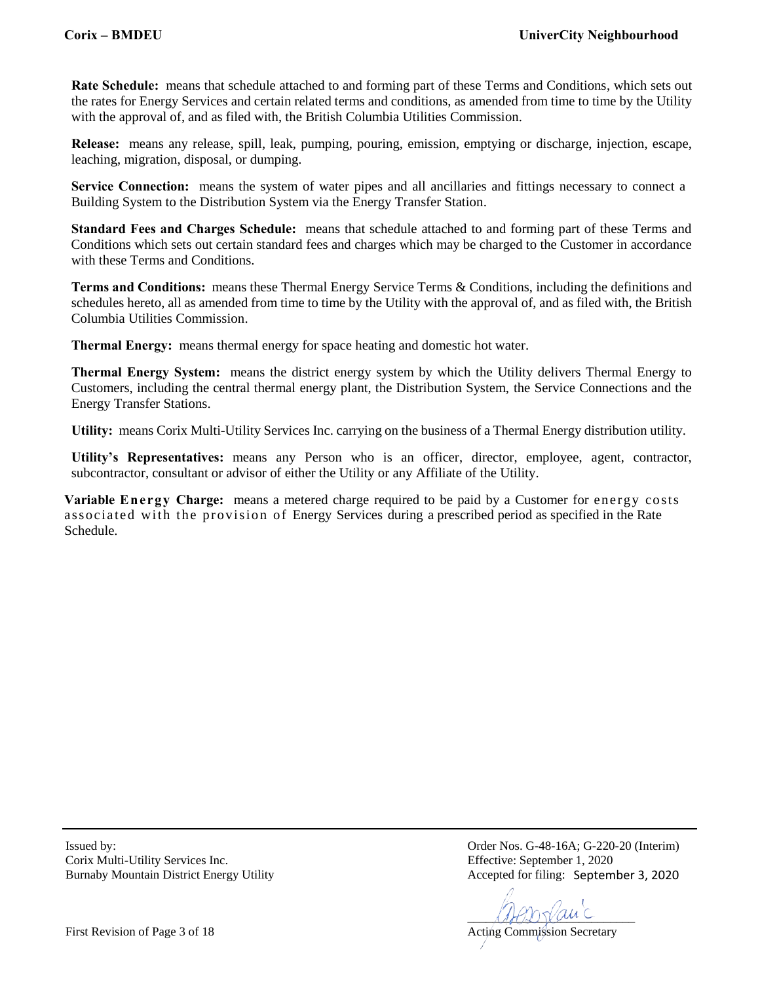**Rate Schedule:** means that schedule attached to and forming part of these Terms and Conditions, which sets out the rates for Energy Services and certain related terms and conditions, as amended from time to time by the Utility with the approval of, and as filed with, the British Columbia Utilities Commission.

**Release:** means any release, spill, leak, pumping, pouring, emission, emptying or discharge, injection, escape, leaching, migration, disposal, or dumping.

**Service Connection:** means the system of water pipes and all ancillaries and fittings necessary to connect a Building System to the Distribution System via the Energy Transfer Station.

**Standard Fees and Charges Schedule:** means that schedule attached to and forming part of these Terms and Conditions which sets out certain standard fees and charges which may be charged to the Customer in accordance with these Terms and Conditions.

**Terms and Conditions:** means these Thermal Energy Service Terms & Conditions, including the definitions and schedules hereto, all as amended from time to time by the Utility with the approval of, and as filed with, the British Columbia Utilities Commission.

**Thermal Energy:** means thermal energy for space heating and domestic hot water.

**Thermal Energy System:** means the district energy system by which the Utility delivers Thermal Energy to Customers, including the central thermal energy plant, the Distribution System, the Service Connections and the Energy Transfer Stations.

**Utility:** means Corix Multi-Utility Services Inc. carrying on the business of a Thermal Energy distribution utility.

**Utility's Representatives:** means any Person who is an officer, director, employee, agent, contractor, subcontractor, consultant or advisor of either the Utility or any Affiliate of the Utility.

**Variable Energy Charge:** means a metered charge required to be paid by a Customer for energy costs associated with the provision of Energy Services during a prescribed period as specified in the Rate Schedule.

Corix Multi-Utility Services Inc. Effective: September 1, 2020 Burnaby Mountain District Energy Utility

Issued by: Order Nos. G-48-16A; G-220-20 (Interim) Accepted for filing: September 3, 2020

 $\mathcal{A}\mathcal{A}\mathcal{B}\mathcal{D}\mathcal{V}\mathcal{A}\mathcal{A}\mathcal{C}$ 

First Revision of Page 3 of 18 Acting Commission Secretary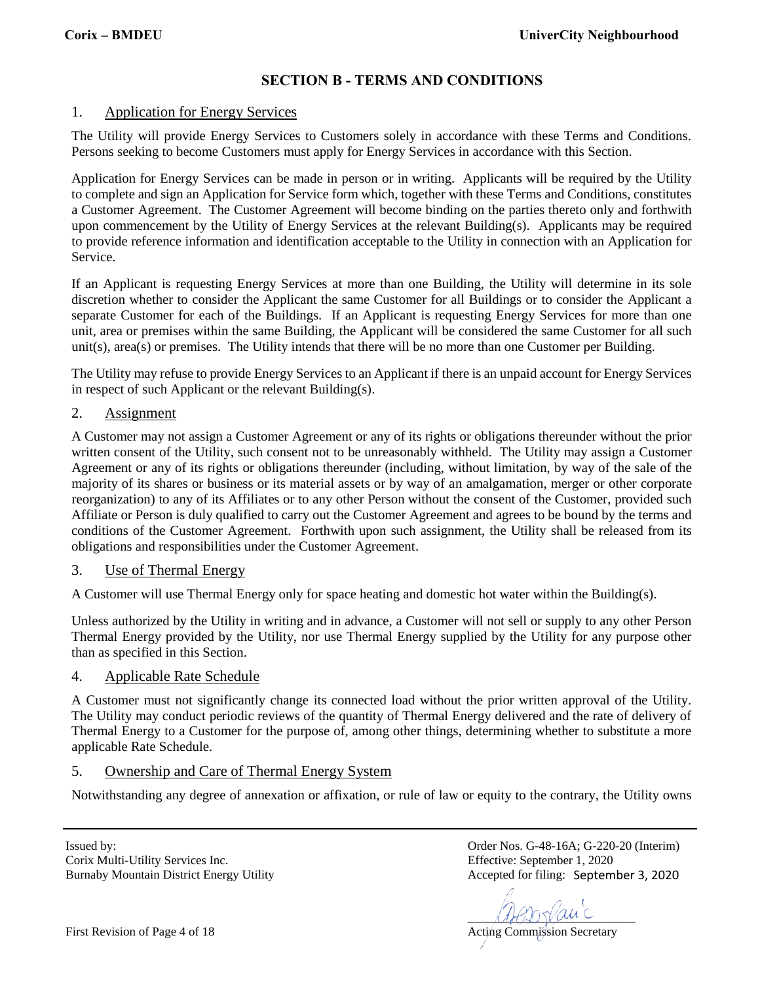# **SECTION B - TERMS AND CONDITIONS**

# 1. Application for Energy Services

The Utility will provide Energy Services to Customers solely in accordance with these Terms and Conditions. Persons seeking to become Customers must apply for Energy Services in accordance with this Section.

Application for Energy Services can be made in person or in writing. Applicants will be required by the Utility to complete and sign an Application for Service form which, together with these Terms and Conditions, constitutes a Customer Agreement. The Customer Agreement will become binding on the parties thereto only and forthwith upon commencement by the Utility of Energy Services at the relevant Building(s). Applicants may be required to provide reference information and identification acceptable to the Utility in connection with an Application for Service.

If an Applicant is requesting Energy Services at more than one Building, the Utility will determine in its sole discretion whether to consider the Applicant the same Customer for all Buildings or to consider the Applicant a separate Customer for each of the Buildings. If an Applicant is requesting Energy Services for more than one unit, area or premises within the same Building, the Applicant will be considered the same Customer for all such unit(s), area(s) or premises. The Utility intends that there will be no more than one Customer per Building.

The Utility may refuse to provide Energy Services to an Applicant if there is an unpaid account for Energy Services in respect of such Applicant or the relevant Building(s).

#### 2. Assignment

A Customer may not assign a Customer Agreement or any of its rights or obligations thereunder without the prior written consent of the Utility, such consent not to be unreasonably withheld. The Utility may assign a Customer Agreement or any of its rights or obligations thereunder (including, without limitation, by way of the sale of the majority of its shares or business or its material assets or by way of an amalgamation, merger or other corporate reorganization) to any of its Affiliates or to any other Person without the consent of the Customer, provided such Affiliate or Person is duly qualified to carry out the Customer Agreement and agrees to be bound by the terms and conditions of the Customer Agreement. Forthwith upon such assignment, the Utility shall be released from its obligations and responsibilities under the Customer Agreement.

#### 3. Use of Thermal Energy

A Customer will use Thermal Energy only for space heating and domestic hot water within the Building(s).

Unless authorized by the Utility in writing and in advance, a Customer will not sell or supply to any other Person Thermal Energy provided by the Utility, nor use Thermal Energy supplied by the Utility for any purpose other than as specified in this Section.

#### 4. Applicable Rate Schedule

A Customer must not significantly change its connected load without the prior written approval of the Utility. The Utility may conduct periodic reviews of the quantity of Thermal Energy delivered and the rate of delivery of Thermal Energy to a Customer for the purpose of, among other things, determining whether to substitute a more applicable Rate Schedule.

# 5. Ownership and Care of Thermal Energy System

Notwithstanding any degree of annexation or affixation, or rule of law or equity to the contrary, the Utility owns

Issued by: Order Nos. G-48-16A; G-220-20 (Interim) Corix Multi-Utility Services Inc. Effective: September 1, 2020 Burnaby Mountain District Energy Utility

Accepted for filing: September 3, 2020

 $\mathcal{A}\mathcal{A}\mathcal{B}\mathcal{D}\mathcal{Y}\mathcal{A}\mathcal{A}\mathcal{C}$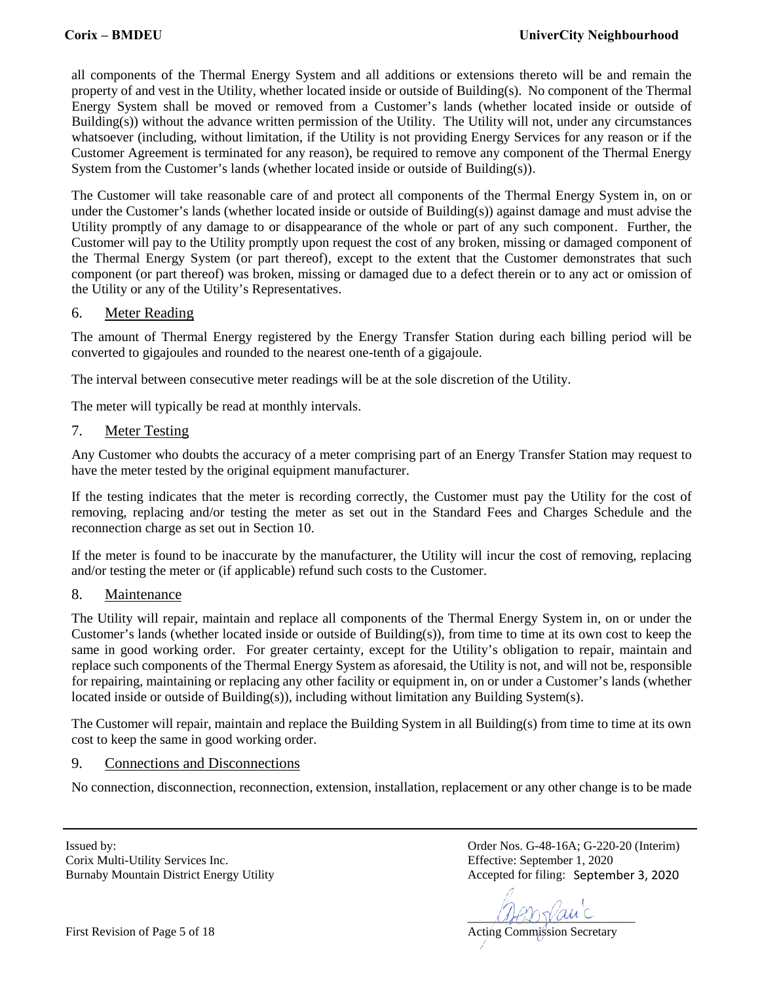all components of the Thermal Energy System and all additions or extensions thereto will be and remain the property of and vest in the Utility, whether located inside or outside of Building(s). No component of the Thermal Energy System shall be moved or removed from a Customer's lands (whether located inside or outside of Building(s)) without the advance written permission of the Utility. The Utility will not, under any circumstances whatsoever (including, without limitation, if the Utility is not providing Energy Services for any reason or if the Customer Agreement is terminated for any reason), be required to remove any component of the Thermal Energy System from the Customer's lands (whether located inside or outside of Building(s)).

The Customer will take reasonable care of and protect all components of the Thermal Energy System in, on or under the Customer's lands (whether located inside or outside of Building(s)) against damage and must advise the Utility promptly of any damage to or disappearance of the whole or part of any such component. Further, the Customer will pay to the Utility promptly upon request the cost of any broken, missing or damaged component of the Thermal Energy System (or part thereof), except to the extent that the Customer demonstrates that such component (or part thereof) was broken, missing or damaged due to a defect therein or to any act or omission of the Utility or any of the Utility's Representatives.

# 6. Meter Reading

The amount of Thermal Energy registered by the Energy Transfer Station during each billing period will be converted to gigajoules and rounded to the nearest one-tenth of a gigajoule.

The interval between consecutive meter readings will be at the sole discretion of the Utility.

The meter will typically be read at monthly intervals.

#### 7. Meter Testing

Any Customer who doubts the accuracy of a meter comprising part of an Energy Transfer Station may request to have the meter tested by the original equipment manufacturer.

If the testing indicates that the meter is recording correctly, the Customer must pay the Utility for the cost of removing, replacing and/or testing the meter as set out in the Standard Fees and Charges Schedule and the reconnection charge as set out in Section 10.

If the meter is found to be inaccurate by the manufacturer, the Utility will incur the cost of removing, replacing and/or testing the meter or (if applicable) refund such costs to the Customer.

#### 8. Maintenance

The Utility will repair, maintain and replace all components of the Thermal Energy System in, on or under the Customer's lands (whether located inside or outside of Building(s)), from time to time at its own cost to keep the same in good working order. For greater certainty, except for the Utility's obligation to repair, maintain and replace such components of the Thermal Energy System as aforesaid, the Utility is not, and will not be, responsible for repairing, maintaining or replacing any other facility or equipment in, on or under a Customer's lands (whether located inside or outside of Building(s)), including without limitation any Building System(s).

The Customer will repair, maintain and replace the Building System in all Building(s) from time to time at its own cost to keep the same in good working order.

# 9. Connections and Disconnections

No connection, disconnection, reconnection, extension, installation, replacement or any other change is to be made

Issued by: Order Nos. G-48-16A; G-220-20 (Interim) Corix Multi-Utility Services Inc. Effective: September 1, 2020 Burnaby Mountain District Energy Utility

Accepted for filing: September 3, 2020

 $\mathcal{A}\mathcal{A}\mathcal{B}\mathcal{D}\mathcal{Y}\mathcal{A}\mathcal{A}\mathcal{C}$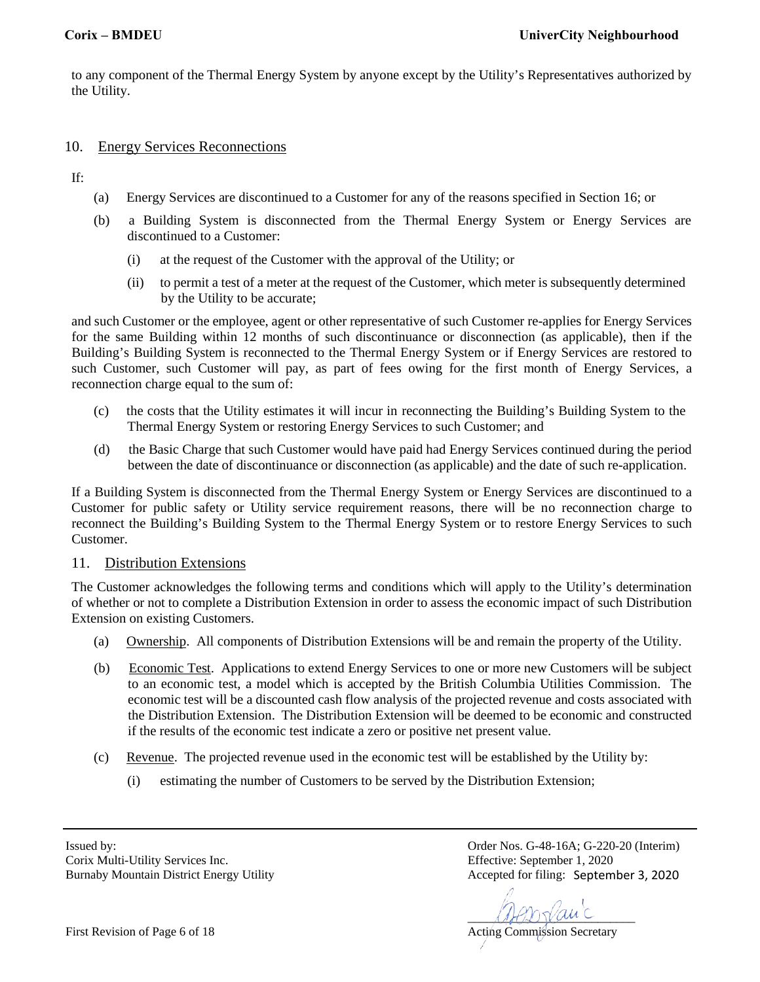to any component of the Thermal Energy System by anyone except by the Utility's Representatives authorized by the Utility.

## 10. Energy Services Reconnections

If:

- (a) Energy Services are discontinued to a Customer for any of the reasons specified in Section 16; or
- (b) a Building System is disconnected from the Thermal Energy System or Energy Services are discontinued to a Customer:
	- (i) at the request of the Customer with the approval of the Utility; or
	- (ii) to permit a test of a meter at the request of the Customer, which meter is subsequently determined by the Utility to be accurate;

and such Customer or the employee, agent or other representative of such Customer re-applies for Energy Services for the same Building within 12 months of such discontinuance or disconnection (as applicable), then if the Building's Building System is reconnected to the Thermal Energy System or if Energy Services are restored to such Customer, such Customer will pay, as part of fees owing for the first month of Energy Services, a reconnection charge equal to the sum of:

- (c) the costs that the Utility estimates it will incur in reconnecting the Building's Building System to the Thermal Energy System or restoring Energy Services to such Customer; and
- (d) the Basic Charge that such Customer would have paid had Energy Services continued during the period between the date of discontinuance or disconnection (as applicable) and the date of such re-application.

If a Building System is disconnected from the Thermal Energy System or Energy Services are discontinued to a Customer for public safety or Utility service requirement reasons, there will be no reconnection charge to reconnect the Building's Building System to the Thermal Energy System or to restore Energy Services to such Customer.

#### 11. Distribution Extensions

The Customer acknowledges the following terms and conditions which will apply to the Utility's determination of whether or not to complete a Distribution Extension in order to assess the economic impact of such Distribution Extension on existing Customers.

- (a) Ownership. All components of Distribution Extensions will be and remain the property of the Utility.
- (b) Economic Test. Applications to extend Energy Services to one or more new Customers will be subject to an economic test, a model which is accepted by the British Columbia Utilities Commission. The economic test will be a discounted cash flow analysis of the projected revenue and costs associated with the Distribution Extension. The Distribution Extension will be deemed to be economic and constructed if the results of the economic test indicate a zero or positive net present value.
- (c) Revenue. The projected revenue used in the economic test will be established by the Utility by:
	- (i) estimating the number of Customers to be served by the Distribution Extension;

Corix Multi-Utility Services Inc. Effective: September 1, 2020 Burnaby Mountain District Energy Utility

 $\mathcal{A}\mathcal{A}\mathcal{B}\mathcal{D}\mathcal{Y}\mathcal{A}\mathcal{A}\mathcal{C}$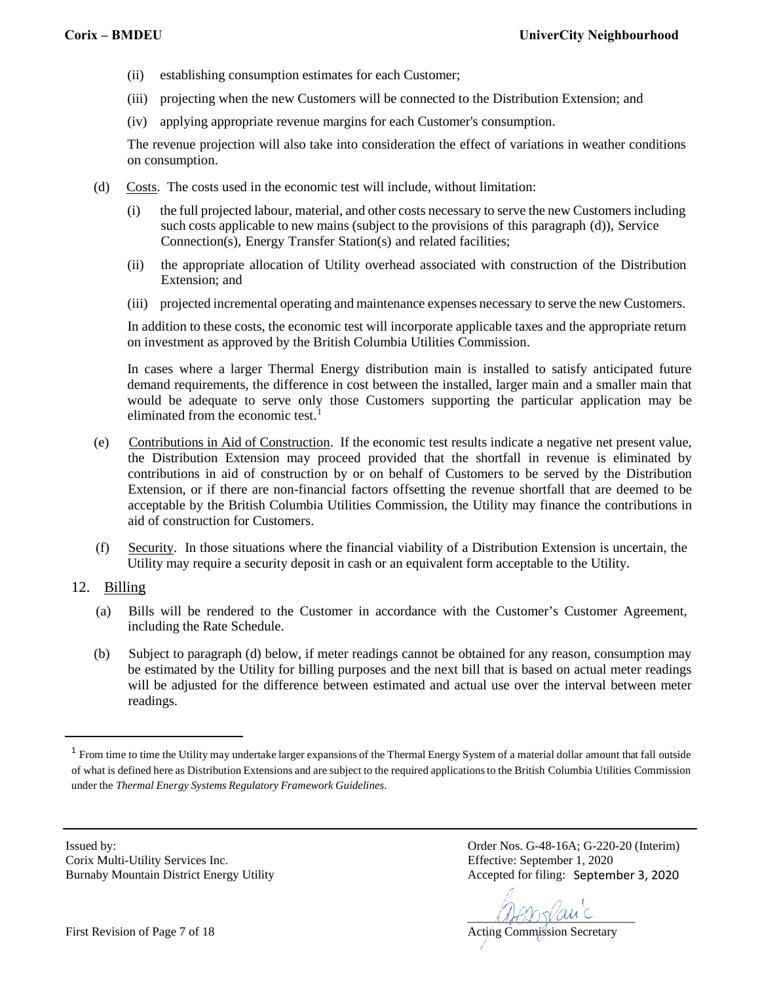- (ii) establishing consumption estimates for each Customer;
- (iii) projecting when the new Customers will be connected to the Distribution Extension; and
- (iv) applying appropriate revenue margins for each Customer's consumption.

The revenue projection will also take into consideration the effect of variations in weather conditions on consumption.

- (d) Costs. The costs used in the economic test will include, without limitation:
	- (i) the full projected labour, material, and other costs necessary to serve the new Customers including such costs applicable to new mains (subject to the provisions of this paragraph (d)), Service Connection(s), Energy Transfer Station(s) and related facilities;
	- (ii) the appropriate allocation of Utility overhead associated with construction of the Distribution Extension; and
	- (iii) projected incremental operating and maintenance expenses necessary to serve the new Customers.

In addition to these costs, the economic test will incorporate applicable taxes and the appropriate return on investment as approved by the British Columbia Utilities Commission.

In cases where a larger Thermal Energy distribution main is installed to satisfy anticipated future demand requirements, the difference in cost between the installed, larger main and a smaller main that would be adequate to serve only those Customers supporting the particular application may be eliminated from the economic test.<sup>[1](#page-6-0)</sup>

- (e) Contributions in Aid of Construction. If the economic test results indicate a negative net present value, the Distribution Extension may proceed provided that the shortfall in revenue is eliminated by contributions in aid of construction by or on behalf of Customers to be served by the Distribution Extension, or if there are non-financial factors offsetting the revenue shortfall that are deemed to be acceptable by the British Columbia Utilities Commission, the Utility may finance the contributions in aid of construction for Customers.
- (f) Security. In those situations where the financial viability of a Distribution Extension is uncertain, the Utility may require a security deposit in cash or an equivalent form acceptable to the Utility.
- 12. Billing
	- (a) Bills will be rendered to the Customer in accordance with the Customer's Customer Agreement, including the Rate Schedule.
	- (b) Subject to paragraph (d) below, if meter readings cannot be obtained for any reason, consumption may be estimated by the Utility for billing purposes and the next bill that is based on actual meter readings will be adjusted for the difference between estimated and actual use over the interval between meter readings.

Corix Multi-Utility Services Inc. Effective: September 1, 2020 Burnaby Mountain District Energy Utility

 $\mathcal{A}\mathcal{A}\mathcal{B}\mathcal{D}\mathcal{Y}\mathcal{A}\mathcal{A}\mathcal{C}$ 

<span id="page-6-0"></span><sup>&</sup>lt;sup>1</sup> From time to time the Utility may undertake larger expansions of the Thermal Energy System of a material dollar amount that fall outside of what is defined here as Distribution Extensions and are subject to the required applications to the British Columbia Utilities Commission under the *Thermal Energy Systems Regulatory Framework Guidelines*.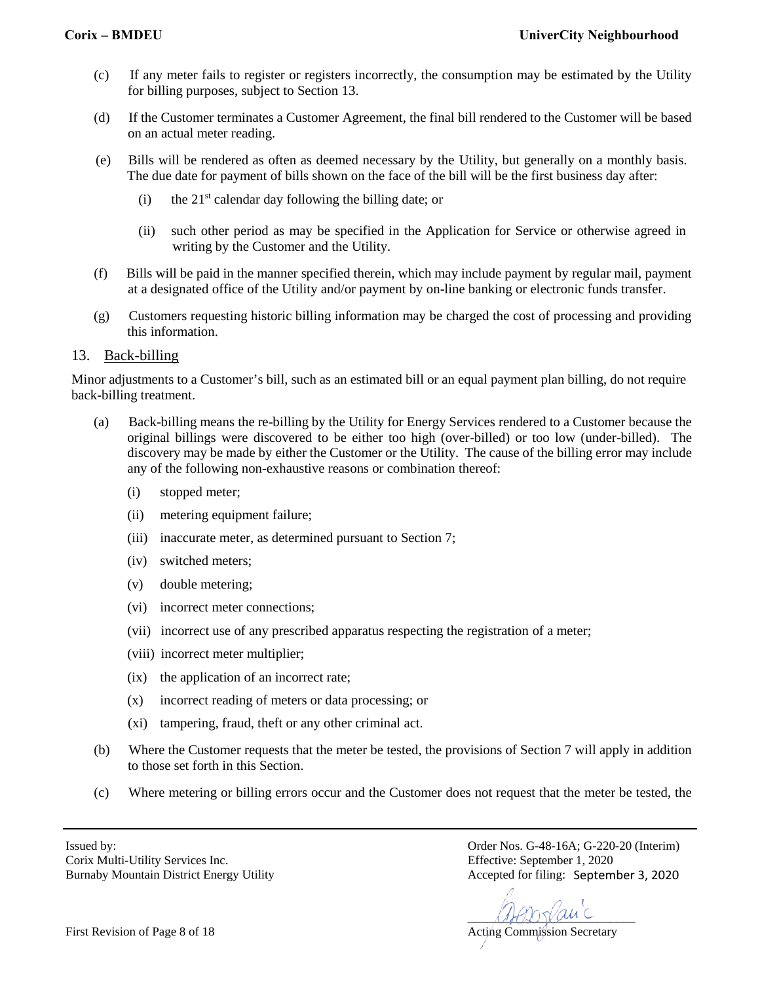- (c) If any meter fails to register or registers incorrectly, the consumption may be estimated by the Utility for billing purposes, subject to Section 13.
- (d) If the Customer terminates a Customer Agreement, the final bill rendered to the Customer will be based on an actual meter reading.
- (e) Bills will be rendered as often as deemed necessary by the Utility, but generally on a monthly basis. The due date for payment of bills shown on the face of the bill will be the first business day after:
	- (i) the  $21<sup>st</sup>$  calendar day following the billing date; or
	- (ii) such other period as may be specified in the Application for Service or otherwise agreed in writing by the Customer and the Utility.
- (f) Bills will be paid in the manner specified therein, which may include payment by regular mail, payment at a designated office of the Utility and/or payment by on-line banking or electronic funds transfer.
- (g) Customers requesting historic billing information may be charged the cost of processing and providing this information.

# 13. Back-billing

Minor adjustments to a Customer's bill, such as an estimated bill or an equal payment plan billing, do not require back-billing treatment.

- (a) Back-billing means the re-billing by the Utility for Energy Services rendered to a Customer because the original billings were discovered to be either too high (over-billed) or too low (under-billed). The discovery may be made by either the Customer or the Utility. The cause of the billing error may include any of the following non-exhaustive reasons or combination thereof:
	- (i) stopped meter;
	- (ii) metering equipment failure;
	- (iii) inaccurate meter, as determined pursuant to Section 7;
	- (iv) switched meters;
	- (v) double metering;
	- (vi) incorrect meter connections;
	- (vii) incorrect use of any prescribed apparatus respecting the registration of a meter;
	- (viii) incorrect meter multiplier;
	- (ix) the application of an incorrect rate;
	- (x) incorrect reading of meters or data processing; or
	- (xi) tampering, fraud, theft or any other criminal act.
- (b) Where the Customer requests that the meter be tested, the provisions of Section 7 will apply in addition to those set forth in this Section.
- (c) Where metering or billing errors occur and the Customer does not request that the meter be tested, the

Corix Multi-Utility Services Inc. Effective: September 1, 2020 Burnaby Mountain District Energy Utility

 $\mathcal{A}\mathcal{A}\mathcal{B}\mathcal{D}\mathcal{Y}\mathcal{A}\mathcal{A}\mathcal{C}$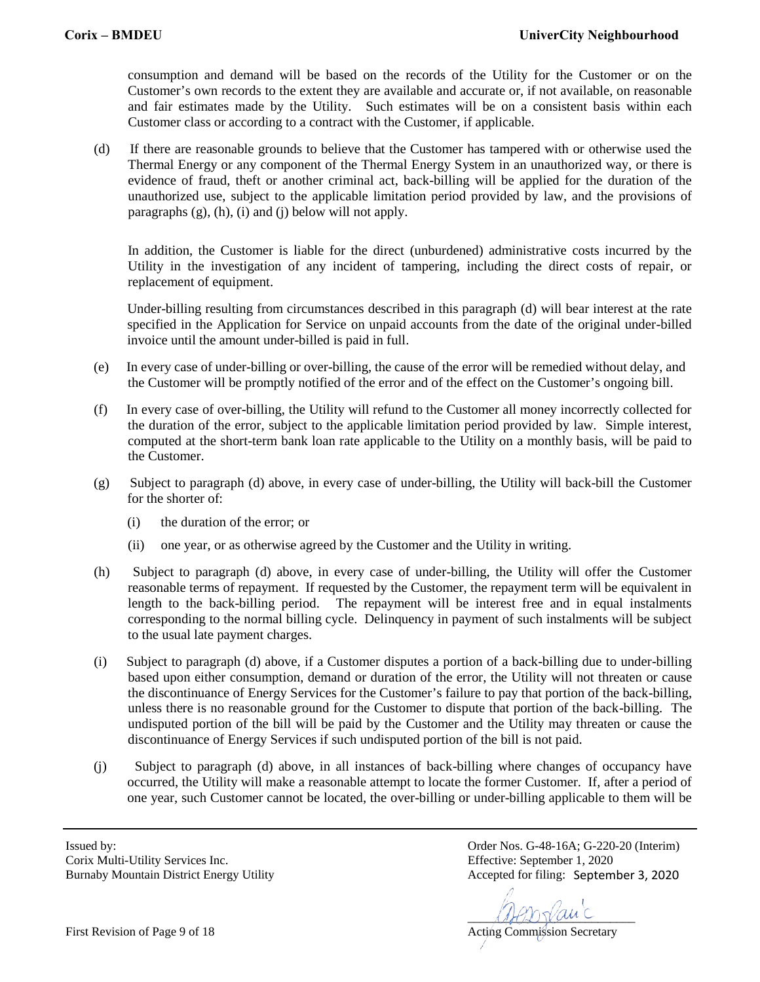consumption and demand will be based on the records of the Utility for the Customer or on the Customer's own records to the extent they are available and accurate or, if not available, on reasonable and fair estimates made by the Utility. Such estimates will be on a consistent basis within each Customer class or according to a contract with the Customer, if applicable.

(d) If there are reasonable grounds to believe that the Customer has tampered with or otherwise used the Thermal Energy or any component of the Thermal Energy System in an unauthorized way, or there is evidence of fraud, theft or another criminal act, back-billing will be applied for the duration of the unauthorized use, subject to the applicable limitation period provided by law, and the provisions of paragraphs  $(g)$ ,  $(h)$ ,  $(i)$  and  $(i)$  below will not apply.

In addition, the Customer is liable for the direct (unburdened) administrative costs incurred by the Utility in the investigation of any incident of tampering, including the direct costs of repair, or replacement of equipment.

Under-billing resulting from circumstances described in this paragraph (d) will bear interest at the rate specified in the Application for Service on unpaid accounts from the date of the original under-billed invoice until the amount under-billed is paid in full.

- (e) In every case of under-billing or over-billing, the cause of the error will be remedied without delay, and the Customer will be promptly notified of the error and of the effect on the Customer's ongoing bill.
- (f) In every case of over-billing, the Utility will refund to the Customer all money incorrectly collected for the duration of the error, subject to the applicable limitation period provided by law. Simple interest, computed at the short-term bank loan rate applicable to the Utility on a monthly basis, will be paid to the Customer.
- (g) Subject to paragraph (d) above, in every case of under-billing, the Utility will back-bill the Customer for the shorter of:
	- (i) the duration of the error; or
	- (ii) one year, or as otherwise agreed by the Customer and the Utility in writing.
- (h) Subject to paragraph (d) above, in every case of under-billing, the Utility will offer the Customer reasonable terms of repayment. If requested by the Customer, the repayment term will be equivalent in length to the back-billing period. The repayment will be interest free and in equal instalments corresponding to the normal billing cycle. Delinquency in payment of such instalments will be subject to the usual late payment charges.
- (i) Subject to paragraph (d) above, if a Customer disputes a portion of a back-billing due to under-billing based upon either consumption, demand or duration of the error, the Utility will not threaten or cause the discontinuance of Energy Services for the Customer's failure to pay that portion of the back-billing, unless there is no reasonable ground for the Customer to dispute that portion of the back-billing. The undisputed portion of the bill will be paid by the Customer and the Utility may threaten or cause the discontinuance of Energy Services if such undisputed portion of the bill is not paid.
- (j) Subject to paragraph (d) above, in all instances of back-billing where changes of occupancy have occurred, the Utility will make a reasonable attempt to locate the former Customer. If, after a period of one year, such Customer cannot be located, the over-billing or under-billing applicable to them will be

Corix Multi-Utility Services Inc. Effective: September 1, 2020 Burnaby Mountain District Energy Utility

 $\mathcal{A}\mathcal{A}\mathcal{B}\mathcal{D}\mathcal{Y}\mathcal{A}\mathcal{A}\mathcal{C}$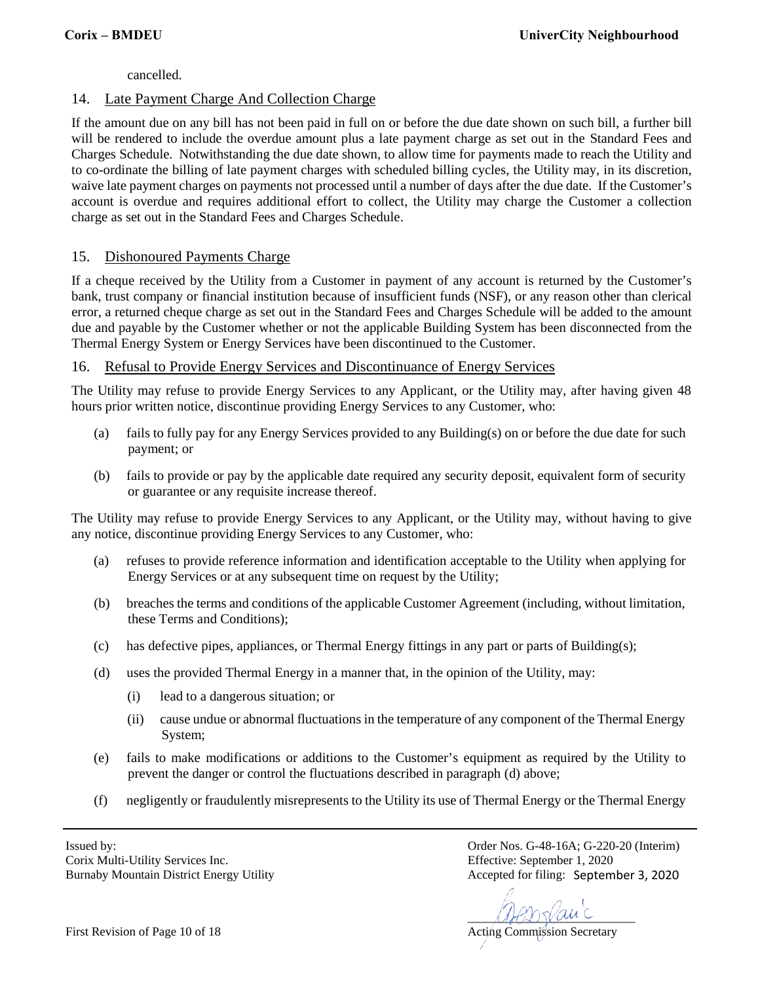cancelled.

# 14. Late Payment Charge And Collection Charge

If the amount due on any bill has not been paid in full on or before the due date shown on such bill, a further bill will be rendered to include the overdue amount plus a late payment charge as set out in the Standard Fees and Charges Schedule. Notwithstanding the due date shown, to allow time for payments made to reach the Utility and to co-ordinate the billing of late payment charges with scheduled billing cycles, the Utility may, in its discretion, waive late payment charges on payments not processed until a number of days after the due date. If the Customer's account is overdue and requires additional effort to collect, the Utility may charge the Customer a collection charge as set out in the Standard Fees and Charges Schedule.

# 15. Dishonoured Payments Charge

If a cheque received by the Utility from a Customer in payment of any account is returned by the Customer's bank, trust company or financial institution because of insufficient funds (NSF), or any reason other than clerical error, a returned cheque charge as set out in the Standard Fees and Charges Schedule will be added to the amount due and payable by the Customer whether or not the applicable Building System has been disconnected from the Thermal Energy System or Energy Services have been discontinued to the Customer.

# 16. Refusal to Provide Energy Services and Discontinuance of Energy Services

The Utility may refuse to provide Energy Services to any Applicant, or the Utility may, after having given 48 hours prior written notice, discontinue providing Energy Services to any Customer, who:

- (a) fails to fully pay for any Energy Services provided to any Building(s) on or before the due date for such payment; or
- (b) fails to provide or pay by the applicable date required any security deposit, equivalent form of security or guarantee or any requisite increase thereof.

The Utility may refuse to provide Energy Services to any Applicant, or the Utility may, without having to give any notice, discontinue providing Energy Services to any Customer, who:

- (a) refuses to provide reference information and identification acceptable to the Utility when applying for Energy Services or at any subsequent time on request by the Utility;
- (b) breaches the terms and conditions of the applicable Customer Agreement (including, without limitation, these Terms and Conditions);
- (c) has defective pipes, appliances, or Thermal Energy fittings in any part or parts of Building(s);
- (d) uses the provided Thermal Energy in a manner that, in the opinion of the Utility, may:
	- (i) lead to a dangerous situation; or
	- (ii) cause undue or abnormal fluctuations in the temperature of any component of the Thermal Energy System;
- (e) fails to make modifications or additions to the Customer's equipment as required by the Utility to prevent the danger or control the fluctuations described in paragraph (d) above;
- (f) negligently or fraudulently misrepresents to the Utility its use of Thermal Energy or the Thermal Energy

Corix Multi-Utility Services Inc. Effective: September 1, 2020 Burnaby Mountain District Energy Utility

 $\mathcal{A}\mathcal{A}\mathcal{B}\mathcal{D}\mathcal{Y}\mathcal{A}\mathcal{A}\mathcal{C}$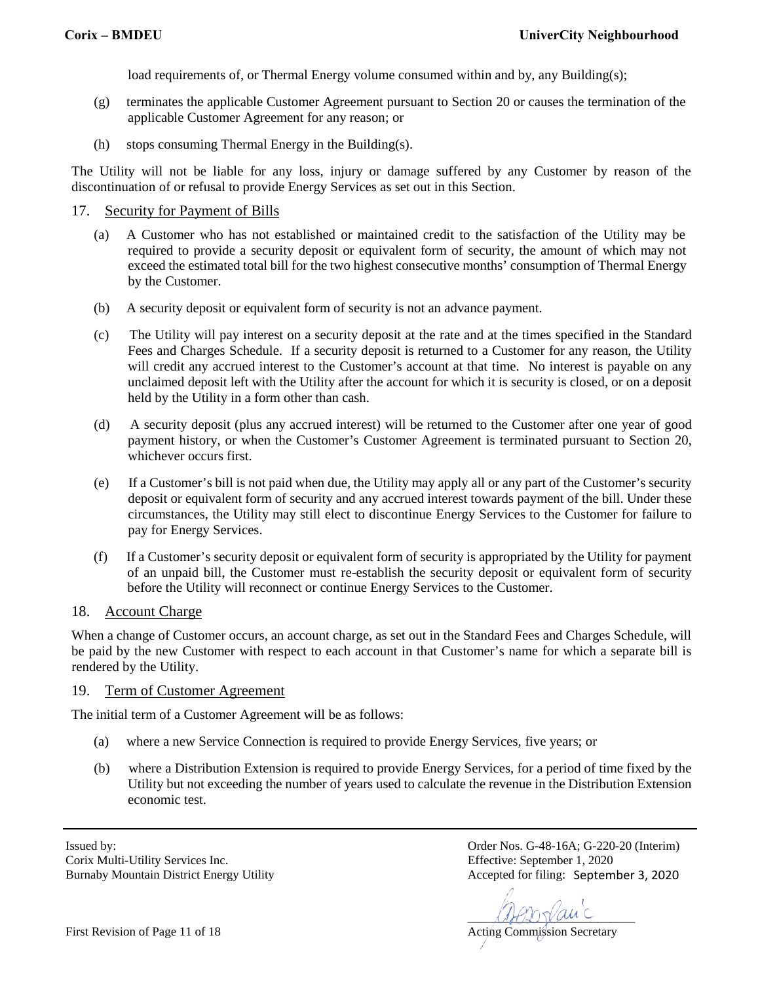load requirements of, or Thermal Energy volume consumed within and by, any Building(s);

- (g) terminates the applicable Customer Agreement pursuant to Section 20 or causes the termination of the applicable Customer Agreement for any reason; or
- (h) stops consuming Thermal Energy in the Building(s).

The Utility will not be liable for any loss, injury or damage suffered by any Customer by reason of the discontinuation of or refusal to provide Energy Services as set out in this Section.

## 17. Security for Payment of Bills

- (a) A Customer who has not established or maintained credit to the satisfaction of the Utility may be required to provide a security deposit or equivalent form of security, the amount of which may not exceed the estimated total bill for the two highest consecutive months' consumption of Thermal Energy by the Customer.
- (b) A security deposit or equivalent form of security is not an advance payment.
- (c) The Utility will pay interest on a security deposit at the rate and at the times specified in the Standard Fees and Charges Schedule. If a security deposit is returned to a Customer for any reason, the Utility will credit any accrued interest to the Customer's account at that time. No interest is payable on any unclaimed deposit left with the Utility after the account for which it is security is closed, or on a deposit held by the Utility in a form other than cash.
- (d) A security deposit (plus any accrued interest) will be returned to the Customer after one year of good payment history, or when the Customer's Customer Agreement is terminated pursuant to Section 20, whichever occurs first.
- (e) If a Customer's bill is not paid when due, the Utility may apply all or any part of the Customer's security deposit or equivalent form of security and any accrued interest towards payment of the bill. Under these circumstances, the Utility may still elect to discontinue Energy Services to the Customer for failure to pay for Energy Services.
- (f) If a Customer's security deposit or equivalent form of security is appropriated by the Utility for payment of an unpaid bill, the Customer must re-establish the security deposit or equivalent form of security before the Utility will reconnect or continue Energy Services to the Customer.

# 18. Account Charge

When a change of Customer occurs, an account charge, as set out in the Standard Fees and Charges Schedule, will be paid by the new Customer with respect to each account in that Customer's name for which a separate bill is rendered by the Utility.

#### 19. Term of Customer Agreement

The initial term of a Customer Agreement will be as follows:

- (a) where a new Service Connection is required to provide Energy Services, five years; or
- (b) where a Distribution Extension is required to provide Energy Services, for a period of time fixed by the Utility but not exceeding the number of years used to calculate the revenue in the Distribution Extension economic test.

Corix Multi-Utility Services Inc. Effective: September 1, 2020 Burnaby Mountain District Energy Utility

 $\mathcal{A}\mathcal{A}\mathcal{B}\mathcal{D}\mathcal{Y}\mathcal{A}\mathcal{A}\mathcal{C}$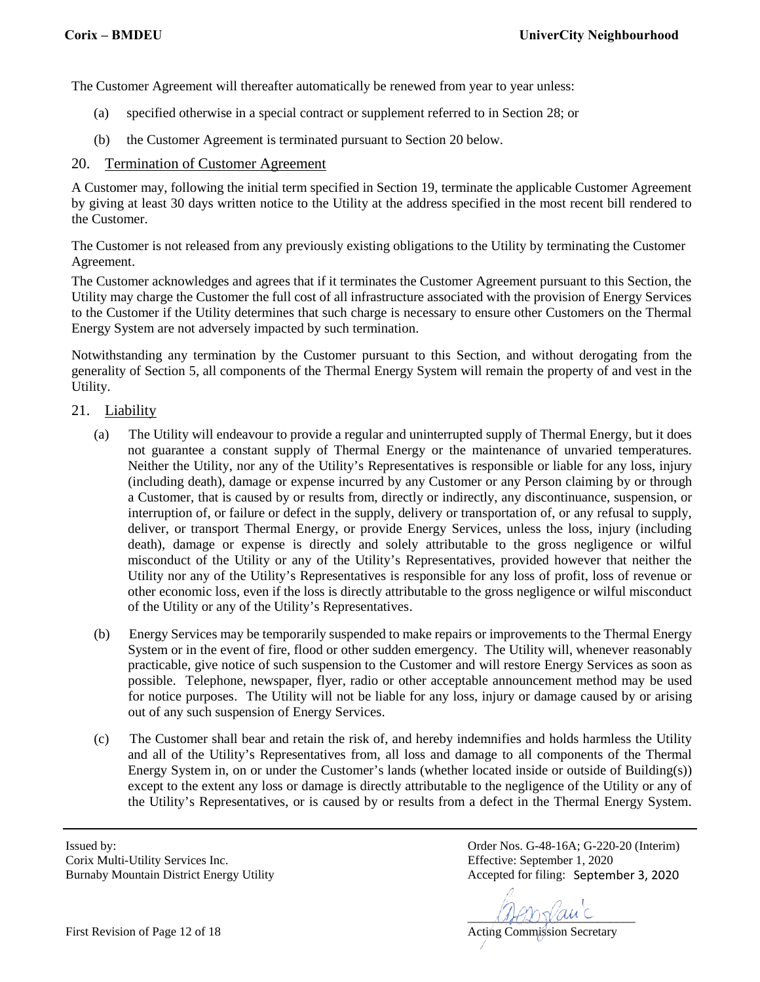The Customer Agreement will thereafter automatically be renewed from year to year unless:

- (a) specified otherwise in a special contract or supplement referred to in Section 28; or
- (b) the Customer Agreement is terminated pursuant to Section 20 below.

#### 20. Termination of Customer Agreement

A Customer may, following the initial term specified in Section 19, terminate the applicable Customer Agreement by giving at least 30 days written notice to the Utility at the address specified in the most recent bill rendered to the Customer.

The Customer is not released from any previously existing obligations to the Utility by terminating the Customer Agreement.

The Customer acknowledges and agrees that if it terminates the Customer Agreement pursuant to this Section, the Utility may charge the Customer the full cost of all infrastructure associated with the provision of Energy Services to the Customer if the Utility determines that such charge is necessary to ensure other Customers on the Thermal Energy System are not adversely impacted by such termination.

Notwithstanding any termination by the Customer pursuant to this Section, and without derogating from the generality of Section 5, all components of the Thermal Energy System will remain the property of and vest in the Utility.

#### 21. Liability

- (a) The Utility will endeavour to provide a regular and uninterrupted supply of Thermal Energy, but it does not guarantee a constant supply of Thermal Energy or the maintenance of unvaried temperatures. Neither the Utility, nor any of the Utility's Representatives is responsible or liable for any loss, injury (including death), damage or expense incurred by any Customer or any Person claiming by or through a Customer, that is caused by or results from, directly or indirectly, any discontinuance, suspension, or interruption of, or failure or defect in the supply, delivery or transportation of, or any refusal to supply, deliver, or transport Thermal Energy, or provide Energy Services, unless the loss, injury (including death), damage or expense is directly and solely attributable to the gross negligence or wilful misconduct of the Utility or any of the Utility's Representatives, provided however that neither the Utility nor any of the Utility's Representatives is responsible for any loss of profit, loss of revenue or other economic loss, even if the loss is directly attributable to the gross negligence or wilful misconduct of the Utility or any of the Utility's Representatives.
- (b) Energy Services may be temporarily suspended to make repairs or improvements to the Thermal Energy System or in the event of fire, flood or other sudden emergency. The Utility will, whenever reasonably practicable, give notice of such suspension to the Customer and will restore Energy Services as soon as possible. Telephone, newspaper, flyer, radio or other acceptable announcement method may be used for notice purposes. The Utility will not be liable for any loss, injury or damage caused by or arising out of any such suspension of Energy Services.
- (c) The Customer shall bear and retain the risk of, and hereby indemnifies and holds harmless the Utility and all of the Utility's Representatives from, all loss and damage to all components of the Thermal Energy System in, on or under the Customer's lands (whether located inside or outside of Building(s)) except to the extent any loss or damage is directly attributable to the negligence of the Utility or any of the Utility's Representatives, or is caused by or results from a defect in the Thermal Energy System.

Corix Multi-Utility Services Inc. Effective: September 1, 2020 Burnaby Mountain District Energy Utility

 $\mathcal{A}\mathcal{A}\mathcal{B}\mathcal{D}\mathcal{Y}\mathcal{A}\mathcal{A}\mathcal{C}$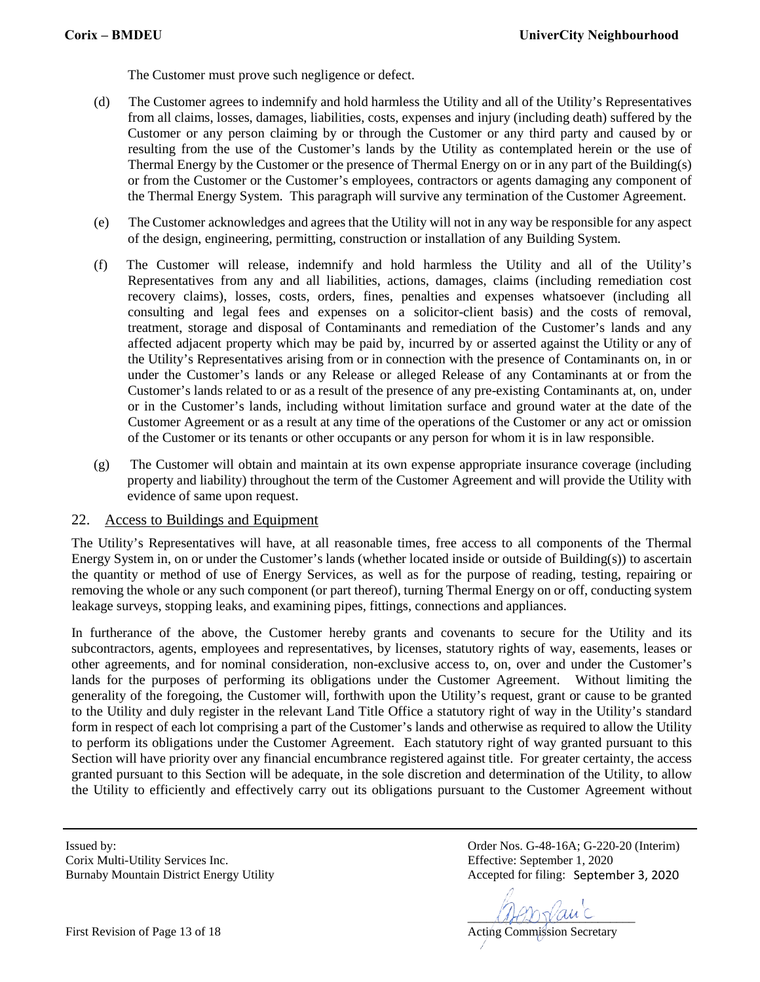The Customer must prove such negligence or defect.

- (d) The Customer agrees to indemnify and hold harmless the Utility and all of the Utility's Representatives from all claims, losses, damages, liabilities, costs, expenses and injury (including death) suffered by the Customer or any person claiming by or through the Customer or any third party and caused by or resulting from the use of the Customer's lands by the Utility as contemplated herein or the use of Thermal Energy by the Customer or the presence of Thermal Energy on or in any part of the Building(s) or from the Customer or the Customer's employees, contractors or agents damaging any component of the Thermal Energy System. This paragraph will survive any termination of the Customer Agreement.
- (e) The Customer acknowledges and agrees that the Utility will not in any way be responsible for any aspect of the design, engineering, permitting, construction or installation of any Building System.
- (f) The Customer will release, indemnify and hold harmless the Utility and all of the Utility's Representatives from any and all liabilities, actions, damages, claims (including remediation cost recovery claims), losses, costs, orders, fines, penalties and expenses whatsoever (including all consulting and legal fees and expenses on a solicitor-client basis) and the costs of removal, treatment, storage and disposal of Contaminants and remediation of the Customer's lands and any affected adjacent property which may be paid by, incurred by or asserted against the Utility or any of the Utility's Representatives arising from or in connection with the presence of Contaminants on, in or under the Customer's lands or any Release or alleged Release of any Contaminants at or from the Customer's lands related to or as a result of the presence of any pre-existing Contaminants at, on, under or in the Customer's lands, including without limitation surface and ground water at the date of the Customer Agreement or as a result at any time of the operations of the Customer or any act or omission of the Customer or its tenants or other occupants or any person for whom it is in law responsible.
- (g) The Customer will obtain and maintain at its own expense appropriate insurance coverage (including property and liability) throughout the term of the Customer Agreement and will provide the Utility with evidence of same upon request.

#### 22. Access to Buildings and Equipment

The Utility's Representatives will have, at all reasonable times, free access to all components of the Thermal Energy System in, on or under the Customer's lands (whether located inside or outside of Building(s)) to ascertain the quantity or method of use of Energy Services, as well as for the purpose of reading, testing, repairing or removing the whole or any such component (or part thereof), turning Thermal Energy on or off, conducting system leakage surveys, stopping leaks, and examining pipes, fittings, connections and appliances.

In furtherance of the above, the Customer hereby grants and covenants to secure for the Utility and its subcontractors, agents, employees and representatives, by licenses, statutory rights of way, easements, leases or other agreements, and for nominal consideration, non-exclusive access to, on, over and under the Customer's lands for the purposes of performing its obligations under the Customer Agreement. Without limiting the generality of the foregoing, the Customer will, forthwith upon the Utility's request, grant or cause to be granted to the Utility and duly register in the relevant Land Title Office a statutory right of way in the Utility's standard form in respect of each lot comprising a part of the Customer's lands and otherwise as required to allow the Utility to perform its obligations under the Customer Agreement. Each statutory right of way granted pursuant to this Section will have priority over any financial encumbrance registered against title. For greater certainty, the access granted pursuant to this Section will be adequate, in the sole discretion and determination of the Utility, to allow the Utility to efficiently and effectively carry out its obligations pursuant to the Customer Agreement without

Corix Multi-Utility Services Inc. Effective: September 1, 2020 Burnaby Mountain District Energy Utility

 $\mathcal{A}\mathcal{A}\mathcal{B}\mathcal{D}\mathcal{Y}\mathcal{A}\mathcal{A}\mathcal{C}$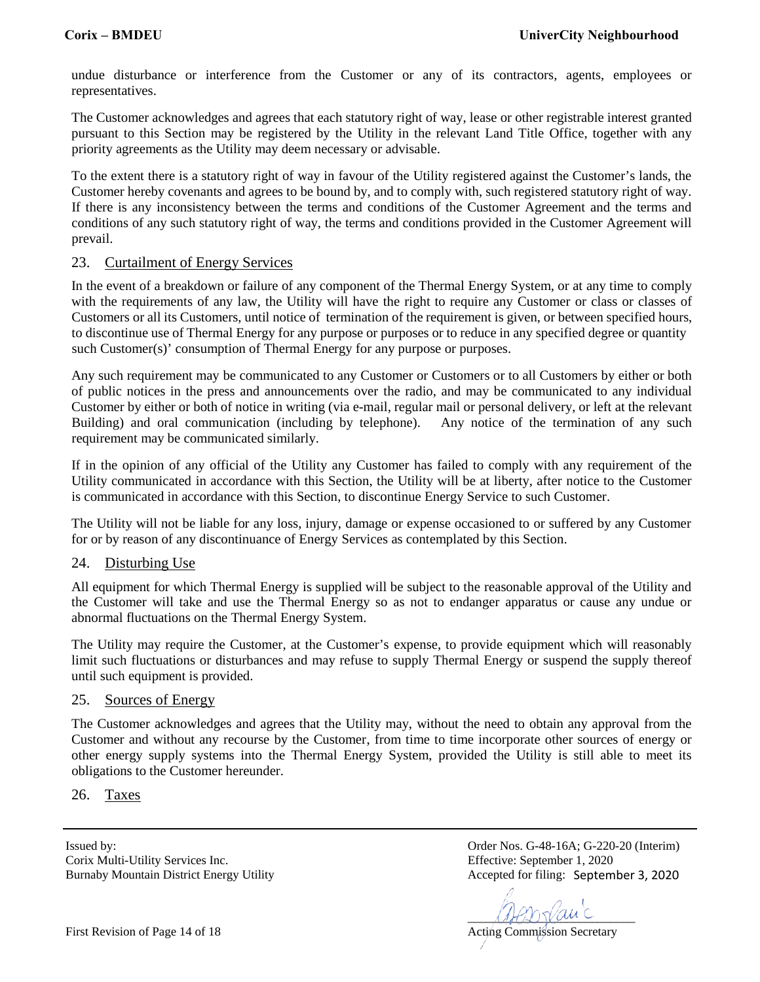undue disturbance or interference from the Customer or any of its contractors, agents, employees or representatives.

The Customer acknowledges and agrees that each statutory right of way, lease or other registrable interest granted pursuant to this Section may be registered by the Utility in the relevant Land Title Office, together with any priority agreements as the Utility may deem necessary or advisable.

To the extent there is a statutory right of way in favour of the Utility registered against the Customer's lands, the Customer hereby covenants and agrees to be bound by, and to comply with, such registered statutory right of way. If there is any inconsistency between the terms and conditions of the Customer Agreement and the terms and conditions of any such statutory right of way, the terms and conditions provided in the Customer Agreement will prevail.

#### 23. Curtailment of Energy Services

In the event of a breakdown or failure of any component of the Thermal Energy System, or at any time to comply with the requirements of any law, the Utility will have the right to require any Customer or class or classes of Customers or all its Customers, until notice of termination of the requirement is given, or between specified hours, to discontinue use of Thermal Energy for any purpose or purposes or to reduce in any specified degree or quantity such Customer(s)' consumption of Thermal Energy for any purpose or purposes.

Any such requirement may be communicated to any Customer or Customers or to all Customers by either or both of public notices in the press and announcements over the radio, and may be communicated to any individual Customer by either or both of notice in writing (via e-mail, regular mail or personal delivery, or left at the relevant Building) and oral communication (including by telephone). Any notice of the termination of any such requirement may be communicated similarly.

If in the opinion of any official of the Utility any Customer has failed to comply with any requirement of the Utility communicated in accordance with this Section, the Utility will be at liberty, after notice to the Customer is communicated in accordance with this Section, to discontinue Energy Service to such Customer.

The Utility will not be liable for any loss, injury, damage or expense occasioned to or suffered by any Customer for or by reason of any discontinuance of Energy Services as contemplated by this Section.

# 24. Disturbing Use

All equipment for which Thermal Energy is supplied will be subject to the reasonable approval of the Utility and the Customer will take and use the Thermal Energy so as not to endanger apparatus or cause any undue or abnormal fluctuations on the Thermal Energy System.

The Utility may require the Customer, at the Customer's expense, to provide equipment which will reasonably limit such fluctuations or disturbances and may refuse to supply Thermal Energy or suspend the supply thereof until such equipment is provided.

#### 25. Sources of Energy

The Customer acknowledges and agrees that the Utility may, without the need to obtain any approval from the Customer and without any recourse by the Customer, from time to time incorporate other sources of energy or other energy supply systems into the Thermal Energy System, provided the Utility is still able to meet its obligations to the Customer hereunder.

26. Taxes

Corix Multi-Utility Services Inc. Effective: September 1, 2020 Burnaby Mountain District Energy Utility

 $\mathcal{A}\mathcal{A}\mathcal{B}\mathcal{D}\mathcal{Y}\mathcal{A}\mathcal{A}\mathcal{C}$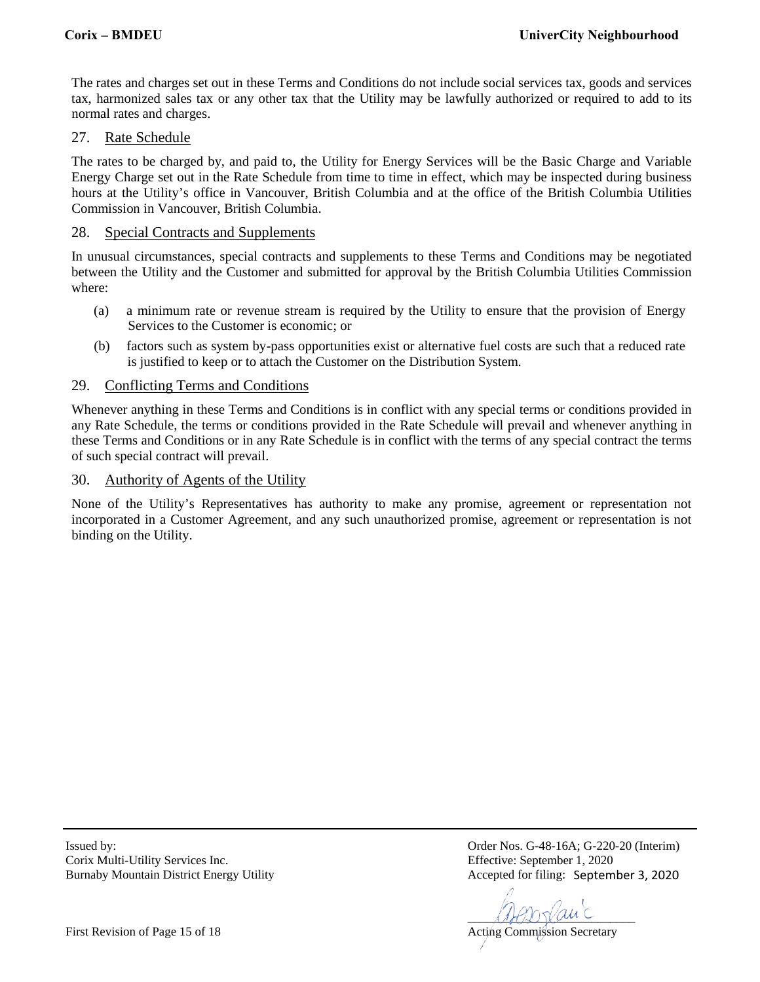The rates and charges set out in these Terms and Conditions do not include social services tax, goods and services tax, harmonized sales tax or any other tax that the Utility may be lawfully authorized or required to add to its normal rates and charges.

## 27. Rate Schedule

The rates to be charged by, and paid to, the Utility for Energy Services will be the Basic Charge and Variable Energy Charge set out in the Rate Schedule from time to time in effect, which may be inspected during business hours at the Utility's office in Vancouver, British Columbia and at the office of the British Columbia Utilities Commission in Vancouver, British Columbia.

#### 28. Special Contracts and Supplements

In unusual circumstances, special contracts and supplements to these Terms and Conditions may be negotiated between the Utility and the Customer and submitted for approval by the British Columbia Utilities Commission where:

- (a) a minimum rate or revenue stream is required by the Utility to ensure that the provision of Energy Services to the Customer is economic; or
- (b) factors such as system by-pass opportunities exist or alternative fuel costs are such that a reduced rate is justified to keep or to attach the Customer on the Distribution System.

#### 29. Conflicting Terms and Conditions

Whenever anything in these Terms and Conditions is in conflict with any special terms or conditions provided in any Rate Schedule, the terms or conditions provided in the Rate Schedule will prevail and whenever anything in these Terms and Conditions or in any Rate Schedule is in conflict with the terms of any special contract the terms of such special contract will prevail.

#### 30. Authority of Agents of the Utility

None of the Utility's Representatives has authority to make any promise, agreement or representation not incorporated in a Customer Agreement, and any such unauthorized promise, agreement or representation is not binding on the Utility.

Corix Multi-Utility Services Inc. Effective: September 1, 2020 Burnaby Mountain District Energy Utility

 $\mathcal{A}\mathcal{A}\mathcal{B}\mathcal{D}\mathcal{Y}\mathcal{A}\mathcal{A}\mathcal{C}$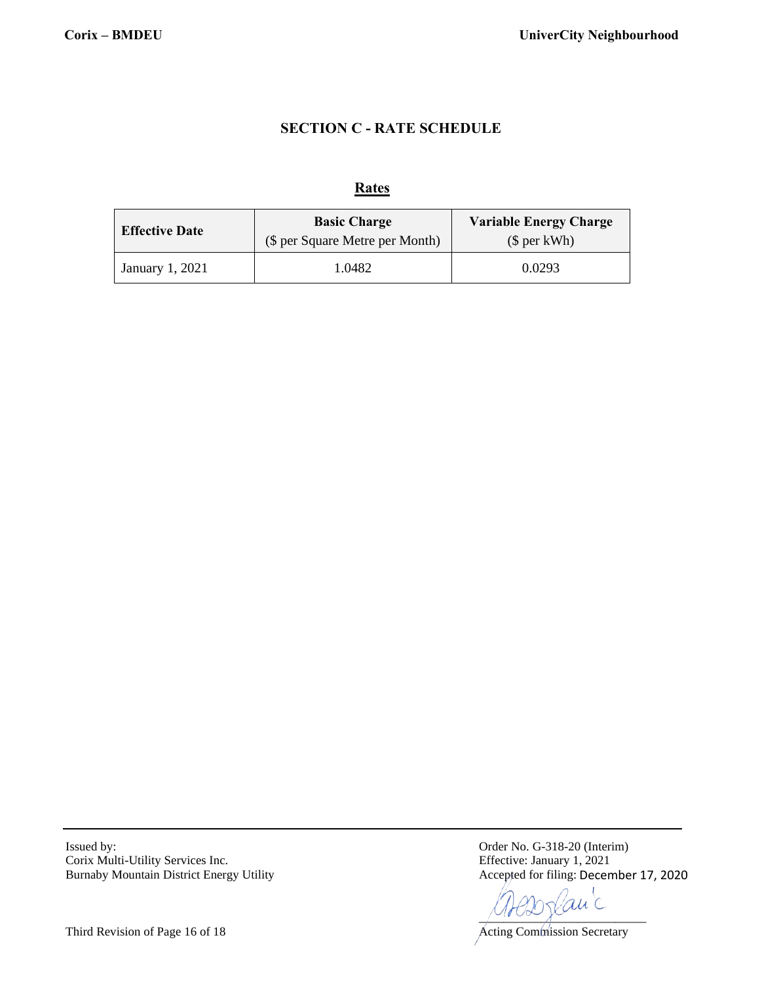# **SECTION C - RATE SCHEDULE**

#### **Rates**

| <b>Effective Date</b> | <b>Basic Charge</b><br>(\$ per Square Metre per Month) | <b>Variable Energy Charge</b><br>$$$ per kWh) |  |
|-----------------------|--------------------------------------------------------|-----------------------------------------------|--|
| January 1, 2021       | 1.0482                                                 | 0.0293                                        |  |

Issued by: Order No. G-318-20 (Interim) Corix Multi-Utility Services Inc. Effective: January 1, 2021 Burnaby Mountain District Energy Utility

Accepted for filing: December 17, 2020

 $\sim$ 

Third Revision of Page 16 of 18 Acting Commission Secretary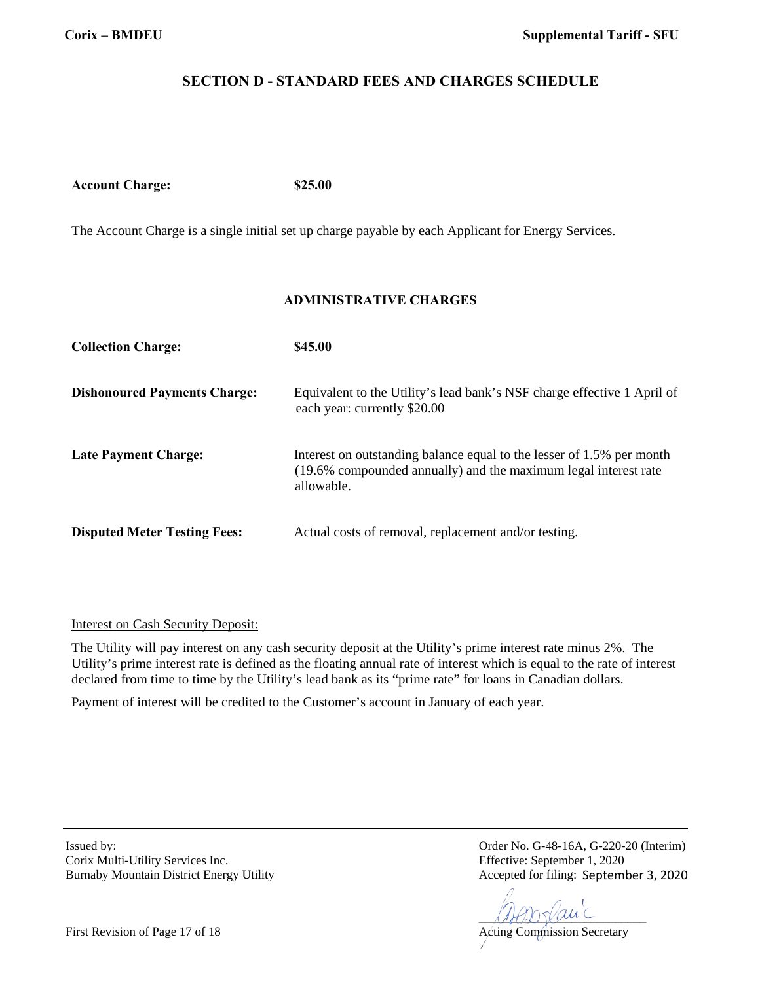# **SECTION D - STANDARD FEES AND CHARGES SCHEDULE**

**Account Charge: \$25.00**

The Account Charge is a single initial set up charge payable by each Applicant for Energy Services.

# **ADMINISTRATIVE CHARGES**

| <b>Collection Charge:</b>           | \$45.00                                                                                                                                                |
|-------------------------------------|--------------------------------------------------------------------------------------------------------------------------------------------------------|
| <b>Dishonoured Payments Charge:</b> | Equivalent to the Utility's lead bank's NSF charge effective 1 April of<br>each year: currently \$20.00                                                |
| <b>Late Payment Charge:</b>         | Interest on outstanding balance equal to the lesser of 1.5% per month<br>(19.6% compounded annually) and the maximum legal interest rate<br>allowable. |
| <b>Disputed Meter Testing Fees:</b> | Actual costs of removal, replacement and/or testing.                                                                                                   |

# Interest on Cash Security Deposit:

The Utility will pay interest on any cash security deposit at the Utility's prime interest rate minus 2%. The Utility's prime interest rate is defined as the floating annual rate of interest which is equal to the rate of interest declared from time to time by the Utility's lead bank as its "prime rate" for loans in Canadian dollars.

Payment of interest will be credited to the Customer's account in January of each year.

Corix Multi-Utility Services Inc. Effective: September 1, 2020 Burnaby Mountain District Energy Utility

 $\bigcup_{i=1}^n U_i \cup \bigvee_{i=1}^n V_i$ au

First Revision of Page 17 of 18 Acting Commission Secretary